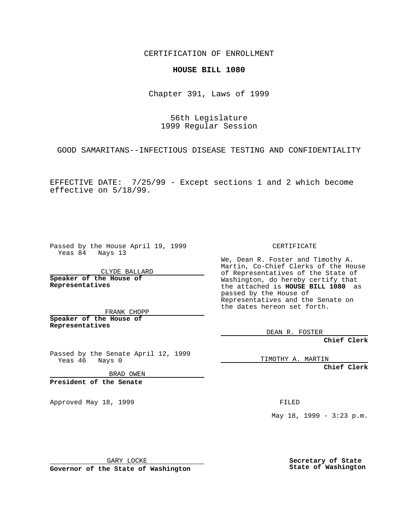CERTIFICATION OF ENROLLMENT

## **HOUSE BILL 1080**

Chapter 391, Laws of 1999

56th Legislature 1999 Regular Session

GOOD SAMARITANS--INFECTIOUS DISEASE TESTING AND CONFIDENTIALITY

EFFECTIVE DATE: 7/25/99 - Except sections 1 and 2 which become effective on 5/18/99.

Passed by the House April 19, 1999 Yeas 84 Nays 13

CLYDE BALLARD **Speaker of the House of Representatives**

FRANK CHOPP **Speaker of the House of Representatives**

Passed by the Senate April 12, 1999<br>Yeas 46 Nays 0 Nays 0

BRAD OWEN

**President of the Senate**

Approved May 18, 1999 **FILED** 

CERTIFICATE

We, Dean R. Foster and Timothy A. Martin, Co-Chief Clerks of the House of Representatives of the State of Washington, do hereby certify that the attached is **HOUSE BILL 1080** as passed by the House of Representatives and the Senate on the dates hereon set forth.

DEAN R. FOSTER

**Chief Clerk**

TIMOTHY A. MARTIN

**Chief Clerk**

May 18, 1999 - 3:23 p.m.

GARY LOCKE

**Governor of the State of Washington**

**Secretary of State State of Washington**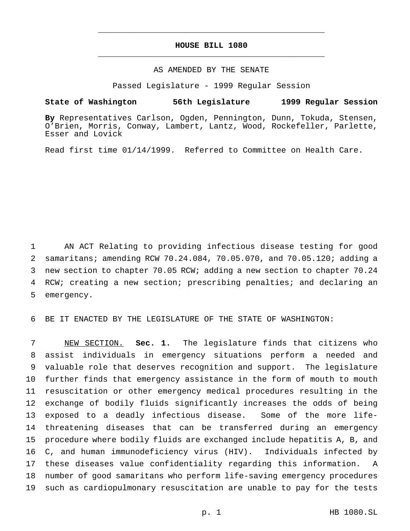## **HOUSE BILL 1080** \_\_\_\_\_\_\_\_\_\_\_\_\_\_\_\_\_\_\_\_\_\_\_\_\_\_\_\_\_\_\_\_\_\_\_\_\_\_\_\_\_\_\_\_\_\_\_

\_\_\_\_\_\_\_\_\_\_\_\_\_\_\_\_\_\_\_\_\_\_\_\_\_\_\_\_\_\_\_\_\_\_\_\_\_\_\_\_\_\_\_\_\_\_\_

## AS AMENDED BY THE SENATE

Passed Legislature - 1999 Regular Session

## **State of Washington 56th Legislature 1999 Regular Session**

**By** Representatives Carlson, Ogden, Pennington, Dunn, Tokuda, Stensen, O'Brien, Morris, Conway, Lambert, Lantz, Wood, Rockefeller, Parlette, Esser and Lovick

Read first time 01/14/1999. Referred to Committee on Health Care.

 AN ACT Relating to providing infectious disease testing for good samaritans; amending RCW 70.24.084, 70.05.070, and 70.05.120; adding a new section to chapter 70.05 RCW; adding a new section to chapter 70.24 RCW; creating a new section; prescribing penalties; and declaring an emergency.

BE IT ENACTED BY THE LEGISLATURE OF THE STATE OF WASHINGTON:

 NEW SECTION. **Sec. 1.** The legislature finds that citizens who assist individuals in emergency situations perform a needed and valuable role that deserves recognition and support. The legislature further finds that emergency assistance in the form of mouth to mouth resuscitation or other emergency medical procedures resulting in the exchange of bodily fluids significantly increases the odds of being exposed to a deadly infectious disease. Some of the more life- threatening diseases that can be transferred during an emergency procedure where bodily fluids are exchanged include hepatitis A, B, and C, and human immunodeficiency virus (HIV). Individuals infected by these diseases value confidentiality regarding this information. A number of good samaritans who perform life-saving emergency procedures such as cardiopulmonary resuscitation are unable to pay for the tests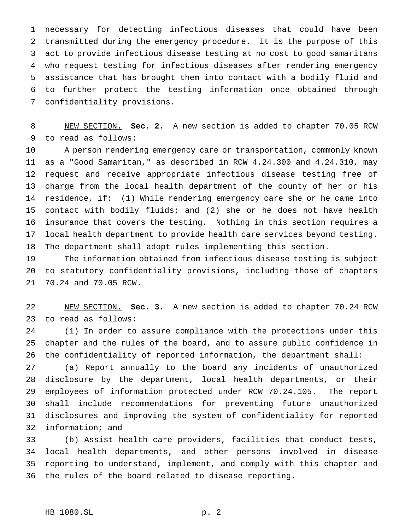necessary for detecting infectious diseases that could have been transmitted during the emergency procedure. It is the purpose of this act to provide infectious disease testing at no cost to good samaritans who request testing for infectious diseases after rendering emergency assistance that has brought them into contact with a bodily fluid and to further protect the testing information once obtained through confidentiality provisions.

 NEW SECTION. **Sec. 2.** A new section is added to chapter 70.05 RCW to read as follows:

 A person rendering emergency care or transportation, commonly known as a "Good Samaritan," as described in RCW 4.24.300 and 4.24.310, may request and receive appropriate infectious disease testing free of charge from the local health department of the county of her or his residence, if: (1) While rendering emergency care she or he came into contact with bodily fluids; and (2) she or he does not have health insurance that covers the testing. Nothing in this section requires a local health department to provide health care services beyond testing. The department shall adopt rules implementing this section.

 The information obtained from infectious disease testing is subject to statutory confidentiality provisions, including those of chapters 70.24 and 70.05 RCW.

 NEW SECTION. **Sec. 3.** A new section is added to chapter 70.24 RCW to read as follows:

 (1) In order to assure compliance with the protections under this chapter and the rules of the board, and to assure public confidence in the confidentiality of reported information, the department shall:

 (a) Report annually to the board any incidents of unauthorized disclosure by the department, local health departments, or their employees of information protected under RCW 70.24.105. The report shall include recommendations for preventing future unauthorized disclosures and improving the system of confidentiality for reported information; and

 (b) Assist health care providers, facilities that conduct tests, local health departments, and other persons involved in disease reporting to understand, implement, and comply with this chapter and the rules of the board related to disease reporting.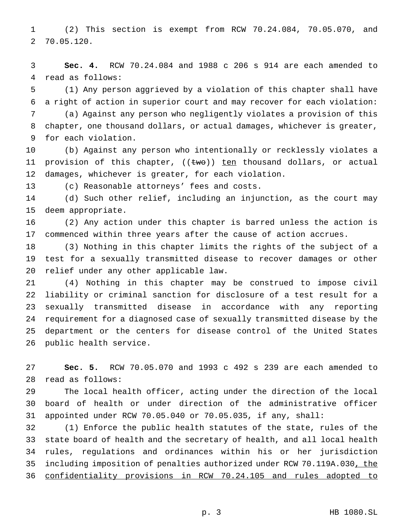(2) This section is exempt from RCW 70.24.084, 70.05.070, and 70.05.120.

 **Sec. 4.** RCW 70.24.084 and 1988 c 206 s 914 are each amended to read as follows:

 (1) Any person aggrieved by a violation of this chapter shall have a right of action in superior court and may recover for each violation:

 (a) Against any person who negligently violates a provision of this chapter, one thousand dollars, or actual damages, whichever is greater, for each violation.

 (b) Against any person who intentionally or recklessly violates a 11 provision of this chapter, ((two)) ten thousand dollars, or actual damages, whichever is greater, for each violation.

(c) Reasonable attorneys' fees and costs.

 (d) Such other relief, including an injunction, as the court may deem appropriate.

 (2) Any action under this chapter is barred unless the action is commenced within three years after the cause of action accrues.

 (3) Nothing in this chapter limits the rights of the subject of a test for a sexually transmitted disease to recover damages or other relief under any other applicable law.

 (4) Nothing in this chapter may be construed to impose civil liability or criminal sanction for disclosure of a test result for a sexually transmitted disease in accordance with any reporting requirement for a diagnosed case of sexually transmitted disease by the department or the centers for disease control of the United States public health service.

 **Sec. 5.** RCW 70.05.070 and 1993 c 492 s 239 are each amended to read as follows:

 The local health officer, acting under the direction of the local board of health or under direction of the administrative officer appointed under RCW 70.05.040 or 70.05.035, if any, shall:

 (1) Enforce the public health statutes of the state, rules of the state board of health and the secretary of health, and all local health rules, regulations and ordinances within his or her jurisdiction 35 including imposition of penalties authorized under RCW 70.119A.030, the confidentiality provisions in RCW 70.24.105 and rules adopted to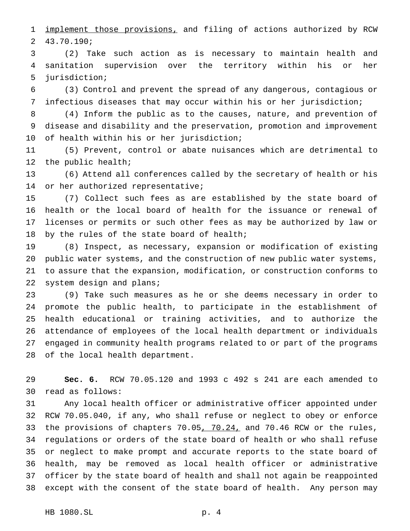1 implement those provisions, and filing of actions authorized by RCW 43.70.190;

 (2) Take such action as is necessary to maintain health and sanitation supervision over the territory within his or her jurisdiction;

 (3) Control and prevent the spread of any dangerous, contagious or infectious diseases that may occur within his or her jurisdiction;

 (4) Inform the public as to the causes, nature, and prevention of disease and disability and the preservation, promotion and improvement of health within his or her jurisdiction;

 (5) Prevent, control or abate nuisances which are detrimental to the public health;

 (6) Attend all conferences called by the secretary of health or his or her authorized representative;

 (7) Collect such fees as are established by the state board of health or the local board of health for the issuance or renewal of licenses or permits or such other fees as may be authorized by law or 18 by the rules of the state board of health;

 (8) Inspect, as necessary, expansion or modification of existing public water systems, and the construction of new public water systems, to assure that the expansion, modification, or construction conforms to system design and plans;

 (9) Take such measures as he or she deems necessary in order to promote the public health, to participate in the establishment of health educational or training activities, and to authorize the attendance of employees of the local health department or individuals engaged in community health programs related to or part of the programs of the local health department.

 **Sec. 6.** RCW 70.05.120 and 1993 c 492 s 241 are each amended to read as follows:

 Any local health officer or administrative officer appointed under RCW 70.05.040, if any, who shall refuse or neglect to obey or enforce 33 the provisions of chapters 70.05, 70.24, and 70.46 RCW or the rules, regulations or orders of the state board of health or who shall refuse or neglect to make prompt and accurate reports to the state board of health, may be removed as local health officer or administrative officer by the state board of health and shall not again be reappointed except with the consent of the state board of health. Any person may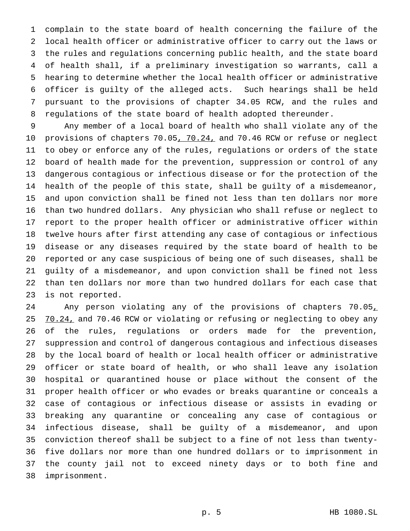complain to the state board of health concerning the failure of the local health officer or administrative officer to carry out the laws or the rules and regulations concerning public health, and the state board of health shall, if a preliminary investigation so warrants, call a hearing to determine whether the local health officer or administrative officer is guilty of the alleged acts. Such hearings shall be held pursuant to the provisions of chapter 34.05 RCW, and the rules and regulations of the state board of health adopted thereunder.

 Any member of a local board of health who shall violate any of the 10 provisions of chapters 70.05, 70.24, and 70.46 RCW or refuse or neglect to obey or enforce any of the rules, regulations or orders of the state board of health made for the prevention, suppression or control of any dangerous contagious or infectious disease or for the protection of the health of the people of this state, shall be guilty of a misdemeanor, and upon conviction shall be fined not less than ten dollars nor more than two hundred dollars. Any physician who shall refuse or neglect to report to the proper health officer or administrative officer within twelve hours after first attending any case of contagious or infectious disease or any diseases required by the state board of health to be reported or any case suspicious of being one of such diseases, shall be guilty of a misdemeanor, and upon conviction shall be fined not less than ten dollars nor more than two hundred dollars for each case that is not reported.

24 Any person violating any of the provisions of chapters 70.05, 25 70.24, and 70.46 RCW or violating or refusing or neglecting to obey any of the rules, regulations or orders made for the prevention, suppression and control of dangerous contagious and infectious diseases by the local board of health or local health officer or administrative officer or state board of health, or who shall leave any isolation hospital or quarantined house or place without the consent of the proper health officer or who evades or breaks quarantine or conceals a case of contagious or infectious disease or assists in evading or breaking any quarantine or concealing any case of contagious or infectious disease, shall be guilty of a misdemeanor, and upon conviction thereof shall be subject to a fine of not less than twenty- five dollars nor more than one hundred dollars or to imprisonment in the county jail not to exceed ninety days or to both fine and imprisonment.